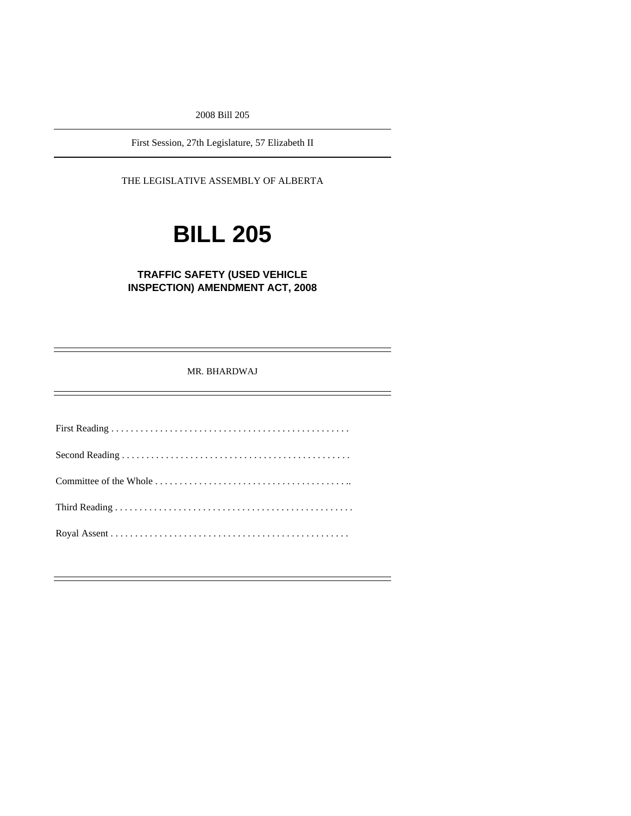2008 Bill 205

First Session, 27th Legislature, 57 Elizabeth II

THE LEGISLATIVE ASSEMBLY OF ALBERTA

# **BILL 205**

**TRAFFIC SAFETY (USED VEHICLE INSPECTION) AMENDMENT ACT, 2008** 

MR. BHARDWAJ

First Reading . . . . . . . . . . . . . . . . . . . . . . . . . . . . . . . . . . . . . . . . . . . . . . . . . Second Reading . . . . . . . . . . . . . . . . . . . . . . . . . . . . . . . . . . . . . . . . . . . . . . . Committee of the Whole . . . . . . . . . . . . . . . . . . . . . . . . . . . . . . . . . . . . . . . .. Third Reading . . . . . . . . . . . . . . . . . . . . . . . . . . . . . . . . . . . . . . . . . . . . . . . . . Royal Assent . . . . . . . . . . . . . . . . . . . . . . . . . . . . . . . . . . . . . . . . . . . . . . . . .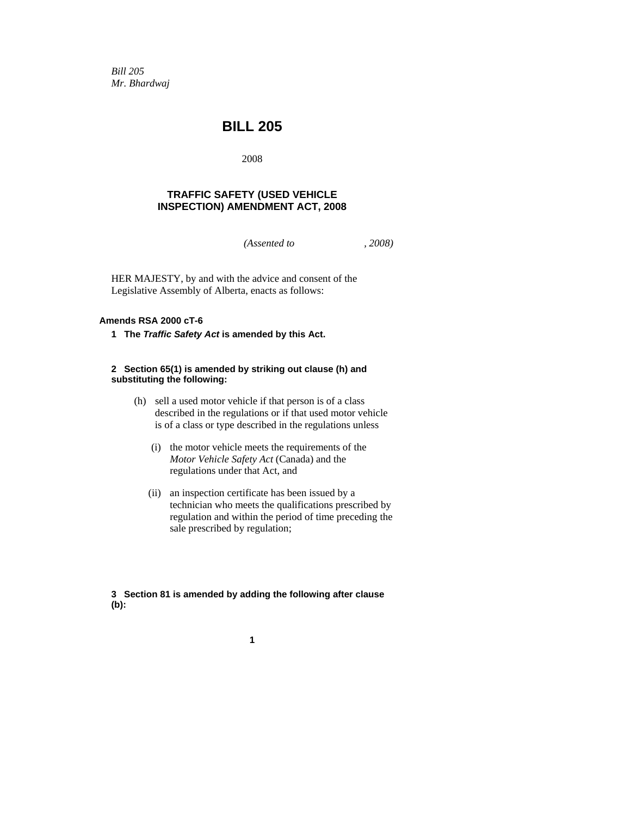*Bill 205 Mr. Bhardwaj* 

### **BILL 205**

2008

#### **TRAFFIC SAFETY (USED VEHICLE INSPECTION) AMENDMENT ACT, 2008**

*(Assented to , 2008)* 

HER MAJESTY, by and with the advice and consent of the Legislative Assembly of Alberta, enacts as follows:

#### **Amends RSA 2000 cT-6**

**1 The** *Traffic Safety Act* **is amended by this Act.** 

#### **2 Section 65(1) is amended by striking out clause (h) and substituting the following:**

- (h) sell a used motor vehicle if that person is of a class described in the regulations or if that used motor vehicle is of a class or type described in the regulations unless
	- (i) the motor vehicle meets the requirements of the *Motor Vehicle Safety Act* (Canada) and the regulations under that Act, and
	- (ii) an inspection certificate has been issued by a technician who meets the qualifications prescribed by regulation and within the period of time preceding the sale prescribed by regulation;

**3 Section 81 is amended by adding the following after clause (b):** 

**1**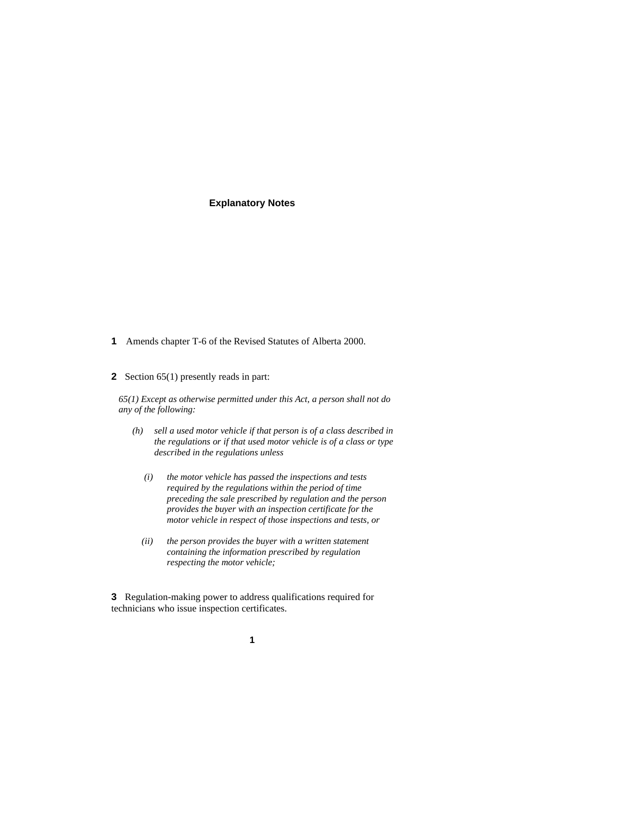#### **Explanatory Notes**

- **1** Amends chapter T-6 of the Revised Statutes of Alberta 2000.
- **2** Section 65(1) presently reads in part:

*65(1) Except as otherwise permitted under this Act, a person shall not do any of the following:* 

- *(h) sell a used motor vehicle if that person is of a class described in the regulations or if that used motor vehicle is of a class or type described in the regulations unless* 
	- *(i) the motor vehicle has passed the inspections and tests required by the regulations within the period of time preceding the sale prescribed by regulation and the person provides the buyer with an inspection certificate for the motor vehicle in respect of those inspections and tests, or*
	- *(ii) the person provides the buyer with a written statement containing the information prescribed by regulation respecting the motor vehicle;*

**3** Regulation-making power to address qualifications required for technicians who issue inspection certificates.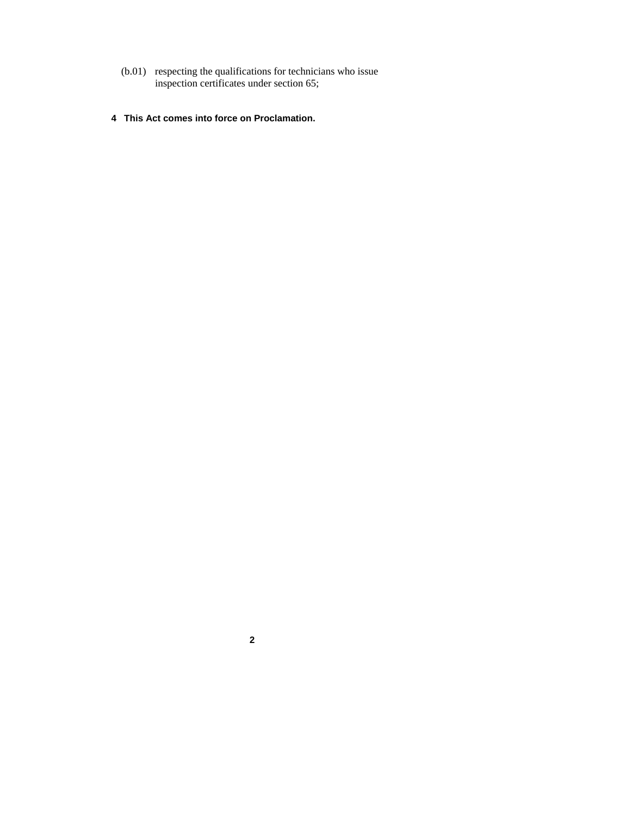- (b.01) respecting the qualifications for technicians who issue inspection certificates under section 65;
- **4 This Act comes into force on Proclamation.**

**2**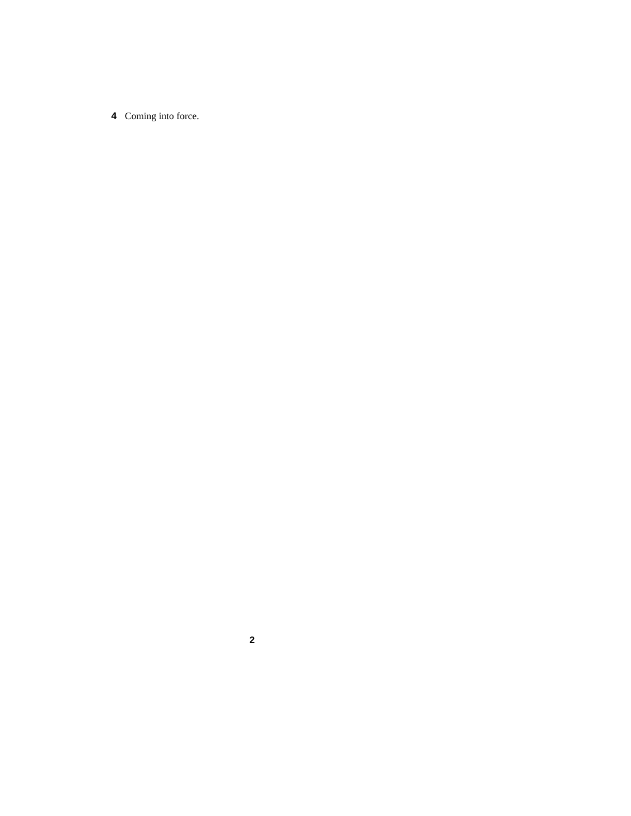Coming into force.